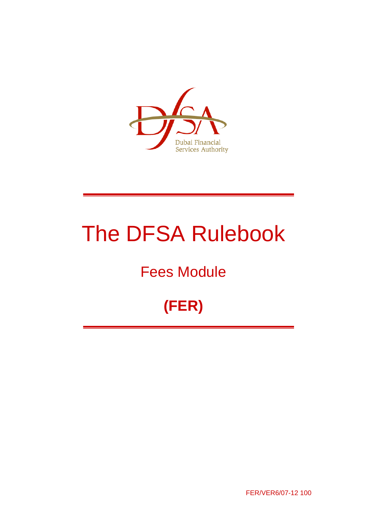

# The DFSA Rulebook

# Fees Module

# **(FER)**

FER/VER6/07-12 100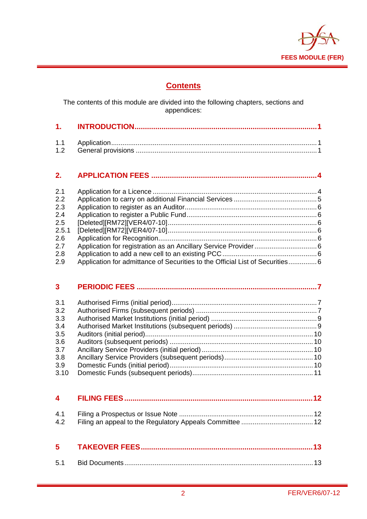

# **Contents**

The contents of this module are divided into the following chapters, sections and appendices:

# **2. APPLICATION FEES ................................................................................ 4**

| 2.1              |                                                                              |  |
|------------------|------------------------------------------------------------------------------|--|
| 2.2              |                                                                              |  |
| $2.3\phantom{0}$ |                                                                              |  |
| 2.4              |                                                                              |  |
| $2.5\,$          |                                                                              |  |
| 2.5.1            |                                                                              |  |
| $2.6\,$          |                                                                              |  |
| 2.7              |                                                                              |  |
| 2.8              |                                                                              |  |
| 2.9              | Application for admittance of Securities to the Official List of Securities6 |  |

| 3 <sup>1</sup> |  |
|----------------|--|
| 3.1            |  |
| 3.2            |  |
| 3.3            |  |
| 3.4            |  |
| 3.5            |  |
| 3.6            |  |
| 3.7            |  |
| 3.8            |  |
| 3.9            |  |
| 3.10           |  |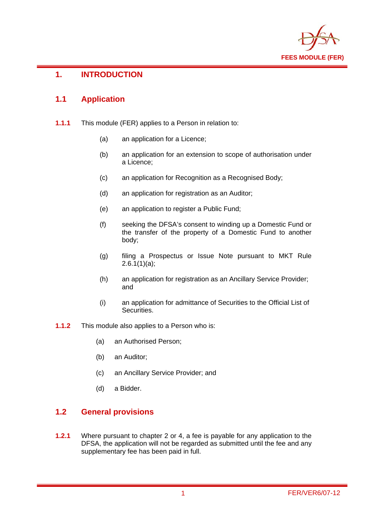

#### **1. INTRODUCTION**

#### **1.1 Application**

- **1.1.1** This module (FER) applies to a Person in relation to:
	- (a) an application for a Licence;
	- (b) an application for an extension to scope of authorisation under a Licence;
	- (c) an application for Recognition as a Recognised Body;
	- (d) an application for registration as an Auditor;
	- (e) an application to register a Public Fund;
	- (f) seeking the DFSA's consent to winding up a Domestic Fund or the transfer of the property of a Domestic Fund to another body;
	- (g) filing a Prospectus or Issue Note pursuant to MKT Rule  $2.6.1(1)(a)$ ;
	- (h) an application for registration as an Ancillary Service Provider; and
	- (i) an application for admittance of Securities to the Official List of Securities.
- **1.1.2** This module also applies to a Person who is:
	- (a) an Authorised Person;
	- (b) an Auditor;
	- (c) an Ancillary Service Provider; and
	- (d) a Bidder.

#### **1.2 General provisions**

**1.2.1** Where pursuant to chapter 2 or 4, a fee is payable for any application to the DFSA, the application will not be regarded as submitted until the fee and any supplementary fee has been paid in full.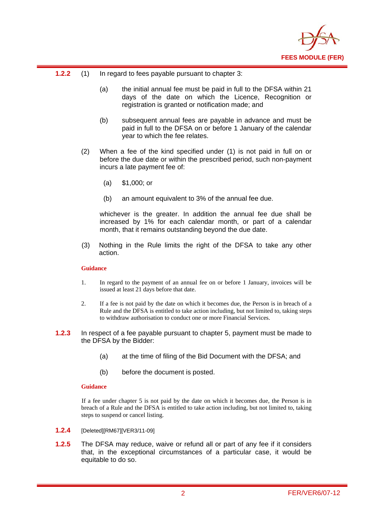

- **1.2.2** (1) In regard to fees payable pursuant to chapter 3:
	- (a) the initial annual fee must be paid in full to the DFSA within 21 days of the date on which the Licence, Recognition or registration is granted or notification made; and
	- (b) subsequent annual fees are payable in advance and must be paid in full to the DFSA on or before 1 January of the calendar year to which the fee relates.
	- (2) When a fee of the kind specified under (1) is not paid in full on or before the due date or within the prescribed period, such non-payment incurs a late payment fee of:
		- (a) \$1,000; or
		- (b) an amount equivalent to 3% of the annual fee due.

whichever is the greater. In addition the annual fee due shall be increased by 1% for each calendar month, or part of a calendar month, that it remains outstanding beyond the due date.

(3) Nothing in the Rule limits the right of the DFSA to take any other action.

#### **Guidance**

- 1. In regard to the payment of an annual fee on or before 1 January, invoices will be issued at least 21 days before that date.
- 2. If a fee is not paid by the date on which it becomes due, the Person is in breach of a Rule and the DFSA is entitled to take action including, but not limited to, taking steps to withdraw authorisation to conduct one or more Financial Services.
- **1.2.3** In respect of a fee payable pursuant to chapter 5, payment must be made to the DFSA by the Bidder:
	- (a) at the time of filing of the Bid Document with the DFSA; and
	- (b) before the document is posted.

#### **Guidance**

If a fee under chapter 5 is not paid by the date on which it becomes due, the Person is in breach of a Rule and the DFSA is entitled to take action including, but not limited to, taking steps to suspend or cancel listing.

- **1.2.4** [Deleted][RM67][VER3/11-09]
- **1.2.5** The DFSA may reduce, waive or refund all or part of any fee if it considers that, in the exceptional circumstances of a particular case, it would be equitable to do so.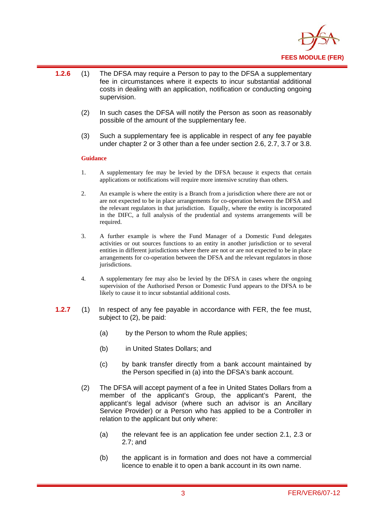

- **1.2.6** (1) The DFSA may require a Person to pay to the DFSA a supplementary fee in circumstances where it expects to incur substantial additional costs in dealing with an application, notification or conducting ongoing supervision.
	- (2) In such cases the DFSA will notify the Person as soon as reasonably possible of the amount of the supplementary fee.
	- (3) Such a supplementary fee is applicable in respect of any fee payable under chapter 2 or 3 other than a fee under section 2.6, 2.7, 3.7 or 3.8.

#### **Guidance**

- 1. A supplementary fee may be levied by the DFSA because it expects that certain applications or notifications will require more intensive scrutiny than others.
- 2. An example is where the entity is a Branch from a jurisdiction where there are not or are not expected to be in place arrangements for co-operation between the DFSA and the relevant regulators in that jurisdiction. Equally, where the entity is incorporated in the DIFC, a full analysis of the prudential and systems arrangements will be required.
- 3. A further example is where the Fund Manager of a Domestic Fund delegates activities or out sources functions to an entity in another jurisdiction or to several entities in different jurisdictions where there are not or are not expected to be in place arrangements for co-operation between the DFSA and the relevant regulators in those jurisdictions.
- 4. A supplementary fee may also be levied by the DFSA in cases where the ongoing supervision of the Authorised Person or Domestic Fund appears to the DFSA to be likely to cause it to incur substantial additional costs.
- **1.2.7** (1) In respect of any fee payable in accordance with FER, the fee must, subject to (2), be paid:
	- (a) by the Person to whom the Rule applies;
	- (b) in United States Dollars; and
	- (c) by bank transfer directly from a bank account maintained by the Person specified in (a) into the DFSA's bank account.
	- (2) The DFSA will accept payment of a fee in United States Dollars from a member of the applicant's Group, the applicant's Parent, the applicant's legal advisor (where such an advisor is an Ancillary Service Provider) or a Person who has applied to be a Controller in relation to the applicant but only where:
		- (a) the relevant fee is an application fee under section 2.1, 2.3 or 2.7; and
		- (b) the applicant is in formation and does not have a commercial licence to enable it to open a bank account in its own name.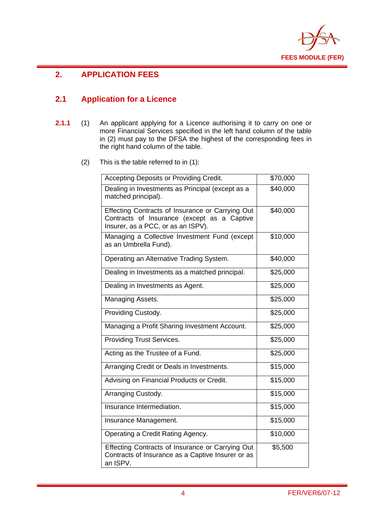

# **2. APPLICATION FEES**

#### **2.1 Application for a Licence**

- **2.1.1** (1) An applicant applying for a Licence authorising it to carry on one or more Financial Services specified in the left hand column of the table in (2) must pay to the DFSA the highest of the corresponding fees in the right hand column of the table.
	- (2) This is the table referred to in (1):

| Accepting Deposits or Providing Credit.                                                                                               | \$70,000 |
|---------------------------------------------------------------------------------------------------------------------------------------|----------|
| Dealing in Investments as Principal (except as a<br>matched principal).                                                               | \$40,000 |
| Effecting Contracts of Insurance or Carrying Out<br>Contracts of Insurance (except as a Captive<br>Insurer, as a PCC, or as an ISPV). | \$40,000 |
| Managing a Collective Investment Fund (except<br>as an Umbrella Fund).                                                                | \$10,000 |
| Operating an Alternative Trading System.                                                                                              | \$40,000 |
| Dealing in Investments as a matched principal.                                                                                        | \$25,000 |
| Dealing in Investments as Agent.                                                                                                      | \$25,000 |
| Managing Assets.                                                                                                                      | \$25,000 |
| Providing Custody.                                                                                                                    | \$25,000 |
| Managing a Profit Sharing Investment Account.                                                                                         | \$25,000 |
| <b>Providing Trust Services.</b>                                                                                                      | \$25,000 |
| Acting as the Trustee of a Fund.                                                                                                      | \$25,000 |
| Arranging Credit or Deals in Investments.                                                                                             | \$15,000 |
| Advising on Financial Products or Credit.                                                                                             | \$15,000 |
| Arranging Custody.                                                                                                                    | \$15,000 |
| Insurance Intermediation.                                                                                                             | \$15,000 |
| Insurance Management.                                                                                                                 | \$15,000 |
| Operating a Credit Rating Agency.                                                                                                     | \$10,000 |
| Effecting Contracts of Insurance or Carrying Out<br>Contracts of Insurance as a Captive Insurer or as<br>an ISPV.                     | \$5,500  |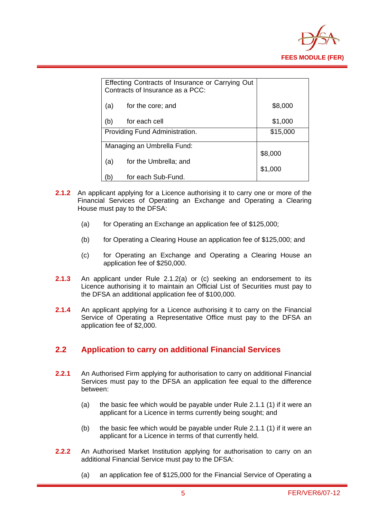

|                                | Effecting Contracts of Insurance or Carrying Out<br>Contracts of Insurance as a PCC: |          |
|--------------------------------|--------------------------------------------------------------------------------------|----------|
| (a)                            | for the core; and                                                                    | \$8,000  |
| (b)                            | for each cell                                                                        | \$1,000  |
| Providing Fund Administration. |                                                                                      | \$15,000 |
| Managing an Umbrella Fund:     |                                                                                      |          |
| (a)                            | for the Umbrella; and                                                                | \$8,000  |
|                                |                                                                                      | \$1,000  |
| b)                             | for each Sub-Fund.                                                                   |          |

- **2.1.2** An applicant applying for a Licence authorising it to carry one or more of the Financial Services of Operating an Exchange and Operating a Clearing House must pay to the DFSA:
	- (a) for Operating an Exchange an application fee of \$125,000;
	- (b) for Operating a Clearing House an application fee of \$125,000; and
	- (c) for Operating an Exchange and Operating a Clearing House an application fee of \$250,000.
- **2.1.3** An applicant under Rule 2.1.2(a) or (c) seeking an endorsement to its Licence authorising it to maintain an Official List of Securities must pay to the DFSA an additional application fee of \$100,000.
- **2.1.4** An applicant applying for a Licence authorising it to carry on the Financial Service of Operating a Representative Office must pay to the DFSA an application fee of \$2,000.

#### **2.2 Application to carry on additional Financial Services**

- **2.2.1** An Authorised Firm applying for authorisation to carry on additional Financial Services must pay to the DFSA an application fee equal to the difference between:
	- (a) the basic fee which would be payable under Rule 2.1.1 (1) if it were an applicant for a Licence in terms currently being sought; and
	- (b) the basic fee which would be payable under Rule 2.1.1 (1) if it were an applicant for a Licence in terms of that currently held.
- **2.2.2** An Authorised Market Institution applying for authorisation to carry on an additional Financial Service must pay to the DFSA:
	- (a) an application fee of \$125,000 for the Financial Service of Operating a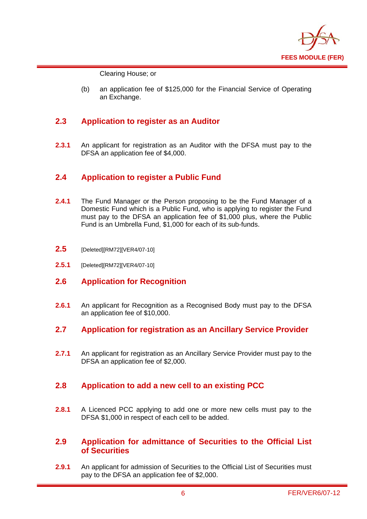

Clearing House; or

(b) an application fee of \$125,000 for the Financial Service of Operating an Exchange.

#### **2.3 Application to register as an Auditor**

**2.3.1** An applicant for registration as an Auditor with the DFSA must pay to the DFSA an application fee of \$4,000.

#### **2.4 Application to register a Public Fund**

- **2.4.1** The Fund Manager or the Person proposing to be the Fund Manager of a Domestic Fund which is a Public Fund, who is applying to register the Fund must pay to the DFSA an application fee of \$1,000 plus, where the Public Fund is an Umbrella Fund, \$1,000 for each of its sub-funds.
- **2.5** [Deleted][RM72][VER4/07-10]
- **2.5.1** [Deleted][RM72][VER4/07-10]
- **2.6 Application for Recognition**
- **2.6.1** An applicant for Recognition as a Recognised Body must pay to the DFSA an application fee of \$10,000.
- **2.7 Application for registration as an Ancillary Service Provider**
- **2.7.1** An applicant for registration as an Ancillary Service Provider must pay to the DFSA an application fee of \$2,000.

#### **2.8 Application to add a new cell to an existing PCC**

**2.8.1** A Licenced PCC applying to add one or more new cells must pay to the DFSA \$1,000 in respect of each cell to be added.

#### **2.9 Application for admittance of Securities to the Official List of Securities**

**2.9.1** An applicant for admission of Securities to the Official List of Securities must pay to the DFSA an application fee of \$2,000.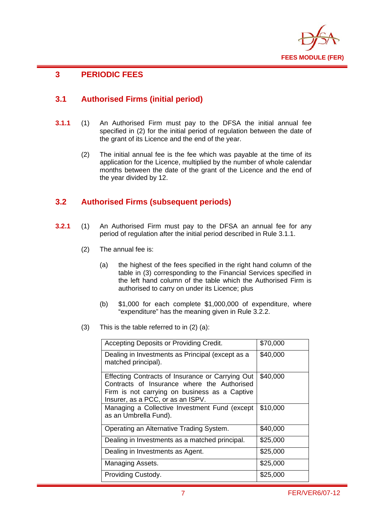

### **3 PERIODIC FEES**

#### **3.1 Authorised Firms (initial period)**

- **3.1.1** (1) An Authorised Firm must pay to the DFSA the initial annual fee specified in (2) for the initial period of regulation between the date of the grant of its Licence and the end of the year.
	- (2) The initial annual fee is the fee which was payable at the time of its application for the Licence, multiplied by the number of whole calendar months between the date of the grant of the Licence and the end of the year divided by 12.

#### **3.2 Authorised Firms (subsequent periods)**

- **3.2.1** (1) An Authorised Firm must pay to the DFSA an annual fee for any period of regulation after the initial period described in Rule 3.1.1.
	- (2) The annual fee is:
		- (a) the highest of the fees specified in the right hand column of the table in (3) corresponding to the Financial Services specified in the left hand column of the table which the Authorised Firm is authorised to carry on under its Licence; plus
		- (b) \$1,000 for each complete \$1,000,000 of expenditure, where "expenditure" has the meaning given in Rule 3.2.2.
	- (3) This is the table referred to in (2) (a):

| Accepting Deposits or Providing Credit.                                                                                                                                               | \$70,000 |
|---------------------------------------------------------------------------------------------------------------------------------------------------------------------------------------|----------|
| Dealing in Investments as Principal (except as a<br>matched principal).                                                                                                               | \$40,000 |
| Effecting Contracts of Insurance or Carrying Out<br>Contracts of Insurance where the Authorised<br>Firm is not carrying on business as a Captive<br>Insurer, as a PCC, or as an ISPV. | \$40,000 |
| Managing a Collective Investment Fund (except<br>as an Umbrella Fund).                                                                                                                | \$10,000 |
| Operating an Alternative Trading System.                                                                                                                                              | \$40,000 |
| Dealing in Investments as a matched principal.                                                                                                                                        | \$25,000 |
| Dealing in Investments as Agent.                                                                                                                                                      | \$25,000 |
| Managing Assets.                                                                                                                                                                      | \$25,000 |
| Providing Custody.                                                                                                                                                                    | \$25,000 |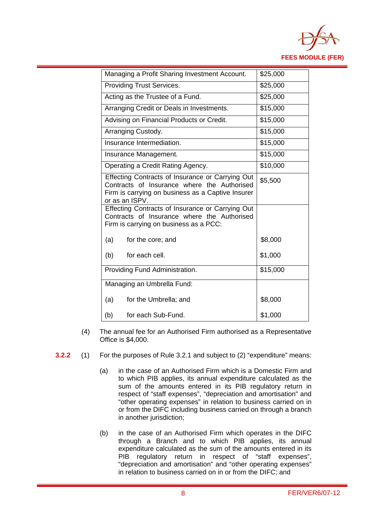

| Managing a Profit Sharing Investment Account.                                                                                                                          | \$25,000 |
|------------------------------------------------------------------------------------------------------------------------------------------------------------------------|----------|
| <b>Providing Trust Services.</b>                                                                                                                                       | \$25,000 |
| Acting as the Trustee of a Fund.                                                                                                                                       | \$25,000 |
| Arranging Credit or Deals in Investments.                                                                                                                              | \$15,000 |
| Advising on Financial Products or Credit.                                                                                                                              | \$15,000 |
| Arranging Custody.                                                                                                                                                     | \$15,000 |
| Insurance Intermediation.                                                                                                                                              | \$15,000 |
| Insurance Management.                                                                                                                                                  | \$15,000 |
| Operating a Credit Rating Agency.                                                                                                                                      | \$10,000 |
| Effecting Contracts of Insurance or Carrying Out<br>Contracts of Insurance where the Authorised<br>Firm is carrying on business as a Captive Insurer<br>or as an ISPV. | \$5,500  |
| Effecting Contracts of Insurance or Carrying Out<br>Contracts of Insurance where the Authorised<br>Firm is carrying on business as a PCC:                              |          |
| (a)<br>for the core; and                                                                                                                                               | \$8,000  |
| (b)<br>for each cell.                                                                                                                                                  | \$1,000  |
| Providing Fund Administration.                                                                                                                                         | \$15,000 |
| Managing an Umbrella Fund:                                                                                                                                             |          |
| (a)<br>for the Umbrella; and                                                                                                                                           | \$8,000  |
| for each Sub-Fund.<br>(b)                                                                                                                                              | \$1,000  |

- (4) The annual fee for an Authorised Firm authorised as a Representative Office is \$4,000.
- **3.2.2** (1) For the purposes of Rule 3.2.1 and subject to (2) "expenditure" means:
	- (a) in the case of an Authorised Firm which is a Domestic Firm and to which PIB applies, its annual expenditure calculated as the sum of the amounts entered in its PIB regulatory return in respect of "staff expenses", "depreciation and amortisation" and "other operating expenses" in relation to business carried on in or from the DIFC including business carried on through a branch in another jurisdiction;
	- (b) in the case of an Authorised Firm which operates in the DIFC through a Branch and to which PIB applies, its annual expenditure calculated as the sum of the amounts entered in its PIB regulatory return in respect of "staff expenses", "depreciation and amortisation" and "other operating expenses" in relation to business carried on in or from the DIFC; and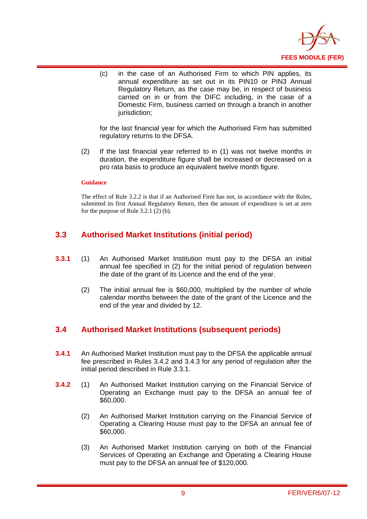

(c) in the case of an Authorised Firm to which PIN applies, its annual expenditure as set out in its PIN10 or PIN3 Annual Regulatory Return, as the case may be, in respect of business carried on in or from the DIFC including, in the case of a Domestic Firm, business carried on through a branch in another jurisdiction:

for the last financial year for which the Authorised Firm has submitted regulatory returns to the DFSA.

(2) If the last financial year referred to in (1) was not twelve months in duration, the expenditure figure shall be increased or decreased on a pro rata basis to produce an equivalent twelve month figure.

#### **Guidance**

The effect of Rule 3.2.2 is that if an Authorised Firm has not, in accordance with the Rules, submitted its first Annual Regulatory Return, then the amount of expenditure is set at zero for the purpose of Rule 3.2.1 (2) (b).

#### **3.3 Authorised Market Institutions (initial period)**

- **3.3.1** (1) An Authorised Market Institution must pay to the DFSA an initial annual fee specified in (2) for the initial period of regulation between the date of the grant of its Licence and the end of the year.
	- (2) The initial annual fee is \$60,000, multiplied by the number of whole calendar months between the date of the grant of the Licence and the end of the year and divided by 12.

#### **3.4 Authorised Market Institutions (subsequent periods)**

- **3.4.1** An Authorised Market Institution must pay to the DFSA the applicable annual fee prescribed in Rules 3.4.2 and 3.4.3 for any period of regulation after the initial period described in Rule 3.3.1.
- **3.4.2** (1) An Authorised Market Institution carrying on the Financial Service of Operating an Exchange must pay to the DFSA an annual fee of \$60,000.
	- (2) An Authorised Market Institution carrying on the Financial Service of Operating a Clearing House must pay to the DFSA an annual fee of \$60,000.
	- (3) An Authorised Market Institution carrying on both of the Financial Services of Operating an Exchange and Operating a Clearing House must pay to the DFSA an annual fee of \$120,000.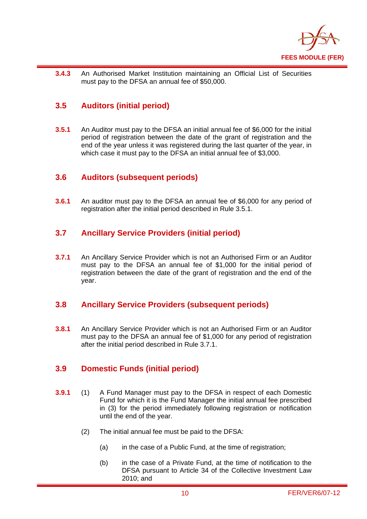

**3.4.3** An Authorised Market Institution maintaining an Official List of Securities must pay to the DFSA an annual fee of \$50,000.

#### **3.5 Auditors (initial period)**

**3.5.1** An Auditor must pay to the DFSA an initial annual fee of \$6,000 for the initial period of registration between the date of the grant of registration and the end of the year unless it was registered during the last quarter of the year, in which case it must pay to the DFSA an initial annual fee of \$3,000.

#### **3.6 Auditors (subsequent periods)**

**3.6.1** An auditor must pay to the DFSA an annual fee of \$6,000 for any period of registration after the initial period described in Rule 3.5.1.

#### **3.7 Ancillary Service Providers (initial period)**

**3.7.1** An Ancillary Service Provider which is not an Authorised Firm or an Auditor must pay to the DFSA an annual fee of \$1,000 for the initial period of registration between the date of the grant of registration and the end of the year.

#### **3.8 Ancillary Service Providers (subsequent periods)**

**3.8.1** An Ancillary Service Provider which is not an Authorised Firm or an Auditor must pay to the DFSA an annual fee of \$1,000 for any period of registration after the initial period described in Rule 3.7.1.

#### **3.9 Domestic Funds (initial period)**

- **3.9.1** (1) A Fund Manager must pay to the DFSA in respect of each Domestic Fund for which it is the Fund Manager the initial annual fee prescribed in (3) for the period immediately following registration or notification until the end of the year.
	- (2) The initial annual fee must be paid to the DFSA:
		- (a) in the case of a Public Fund, at the time of registration;
		- (b) in the case of a Private Fund, at the time of notification to the DFSA pursuant to Article 34 of the Collective Investment Law 2010; and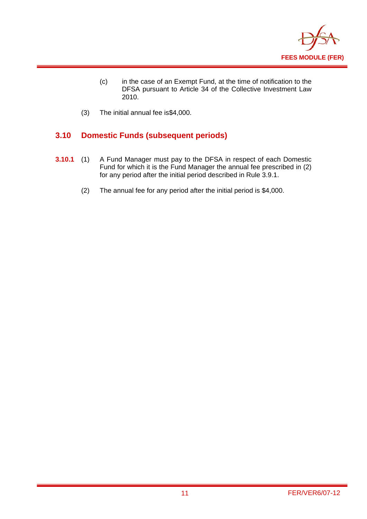

- (c) in the case of an Exempt Fund, at the time of notification to the DFSA pursuant to Article 34 of the Collective Investment Law 2010.
- (3) The initial annual fee is\$4,000.

#### **3.10 Domestic Funds (subsequent periods)**

- **3.10.1** (1) A Fund Manager must pay to the DFSA in respect of each Domestic Fund for which it is the Fund Manager the annual fee prescribed in (2) for any period after the initial period described in Rule 3.9.1.
	- (2) The annual fee for any period after the initial period is \$4,000.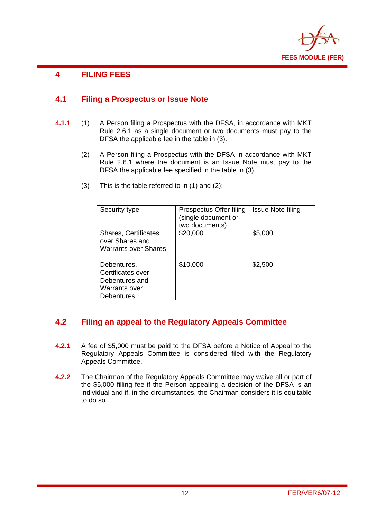

### **4 FILING FEES**

#### **4.1 Filing a Prospectus or Issue Note**

- **4.1.1** (1) A Person filing a Prospectus with the DFSA, in accordance with MKT Rule 2.6.1 as a single document or two documents must pay to the DFSA the applicable fee in the table in (3).
	- (2) A Person filing a Prospectus with the DFSA in accordance with MKT Rule 2.6.1 where the document is an Issue Note must pay to the DFSA the applicable fee specified in the table in (3).

| Security type                                                                            | Prospectus Offer filing<br>(single document or<br>two documents) | <b>Issue Note filing</b> |
|------------------------------------------------------------------------------------------|------------------------------------------------------------------|--------------------------|
| <b>Shares, Certificates</b><br>over Shares and<br><b>Warrants over Shares</b>            | \$20,000                                                         | \$5,000                  |
| Debentures,<br>Certificates over<br>Debentures and<br>Warrants over<br><b>Debentures</b> | \$10,000                                                         | \$2,500                  |

(3) This is the table referred to in (1) and (2):

#### **4.2 Filing an appeal to the Regulatory Appeals Committee**

- **4.2.1** A fee of \$5,000 must be paid to the DFSA before a Notice of Appeal to the Regulatory Appeals Committee is considered filed with the Regulatory Appeals Committee.
- **4.2.2** The Chairman of the Regulatory Appeals Committee may waive all or part of the \$5,000 filling fee if the Person appealing a decision of the DFSA is an individual and if, in the circumstances, the Chairman considers it is equitable to do so.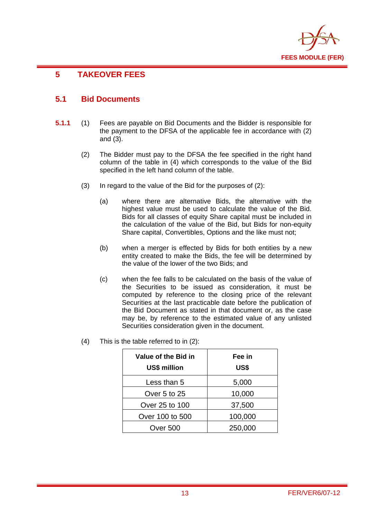

### **5 TAKEOVER FEES**

#### **5.1 Bid Documents**

- **5.1.1** (1) Fees are payable on Bid Documents and the Bidder is responsible for the payment to the DFSA of the applicable fee in accordance with (2) and (3).
	- (2) The Bidder must pay to the DFSA the fee specified in the right hand column of the table in (4) which corresponds to the value of the Bid specified in the left hand column of the table.
	- (3) In regard to the value of the Bid for the purposes of (2):
		- (a) where there are alternative Bids, the alternative with the highest value must be used to calculate the value of the Bid. Bids for all classes of equity Share capital must be included in the calculation of the value of the Bid, but Bids for non-equity Share capital, Convertibles, Options and the like must not;
		- (b) when a merger is effected by Bids for both entities by a new entity created to make the Bids, the fee will be determined by the value of the lower of the two Bids; and
		- (c) when the fee falls to be calculated on the basis of the value of the Securities to be issued as consideration, it must be computed by reference to the closing price of the relevant Securities at the last practicable date before the publication of the Bid Document as stated in that document or, as the case may be, by reference to the estimated value of any unlisted Securities consideration given in the document.

| Value of the Bid in<br>US\$ million | Fee in<br>US\$ |
|-------------------------------------|----------------|
| Less than 5                         | 5,000          |
| Over 5 to 25                        | 10,000         |
| Over 25 to 100                      | 37,500         |
| Over 100 to 500                     | 100,000        |
| Over 500                            | 250,000        |

(4) This is the table referred to in (2):